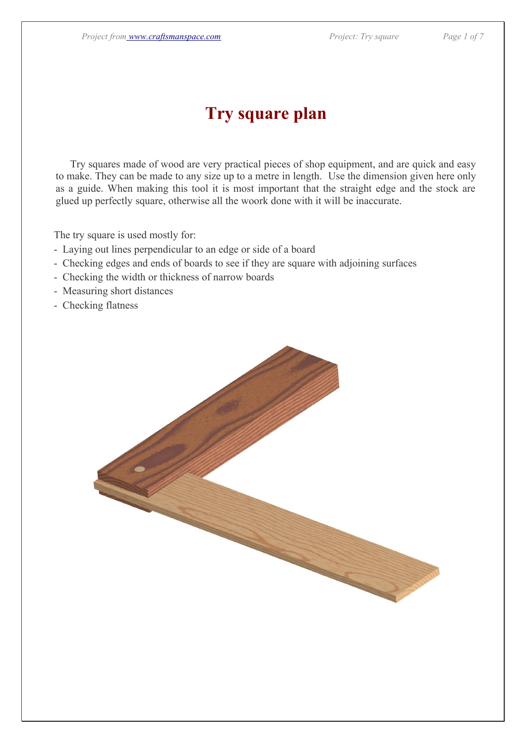## **Try square plan**

 Try squares made of wood are very practical pieces of shop equipment, and are quick and easy to make. They can be made to any size up to a metre in length. Use the dimension given here only as a guide. When making this tool it is most important that the straight edge and the stock are glued up perfectly square, otherwise all the woork done with it will be inaccurate.

The try square is used mostly for:

- Laying out lines perpendicular to an edge or side of a board
- Checking edges and ends of boards to see if they are square with adjoining surfaces
- Checking the width or thickness of narrow boards
- Measuring short distances
- Checking flatness

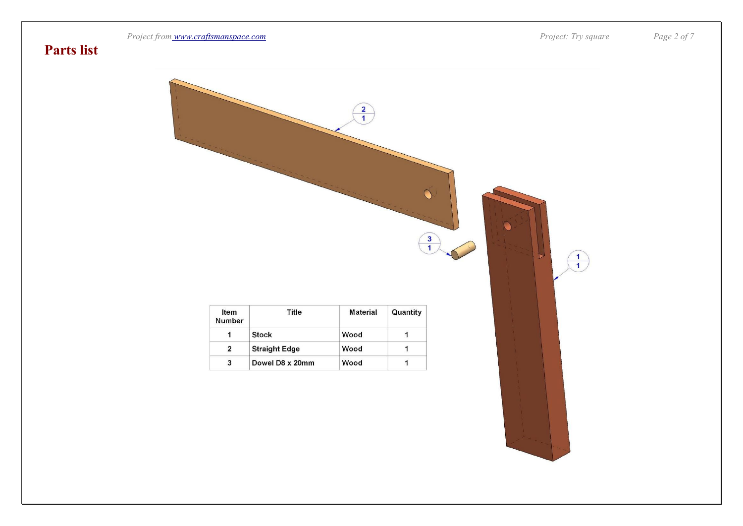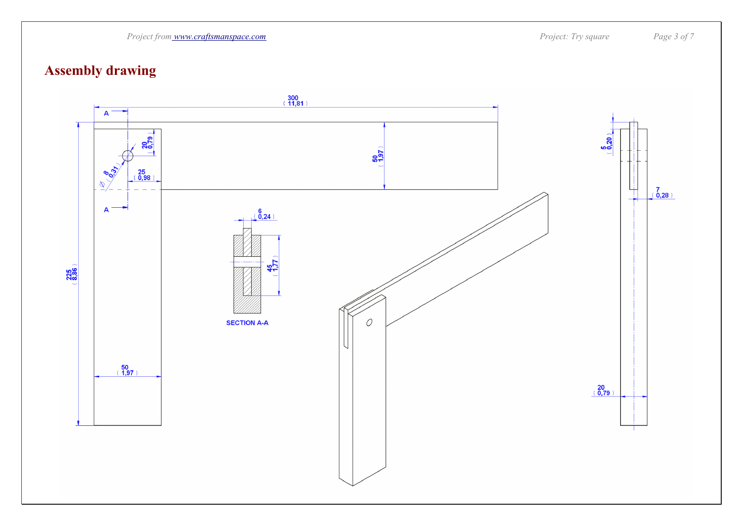

### **Assembly drawing**

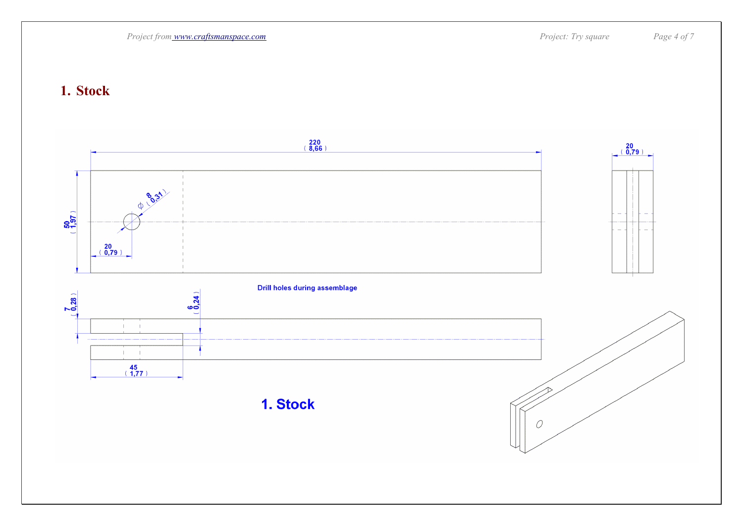

#### **1. Stock**

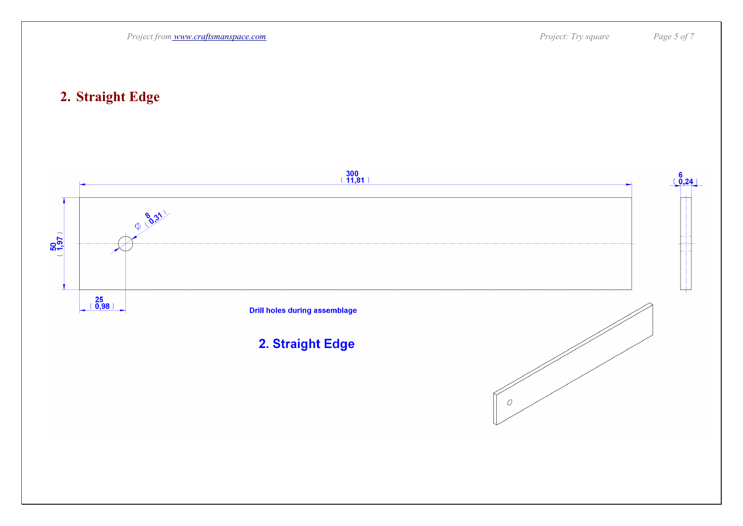

### **2. Straight Edge**

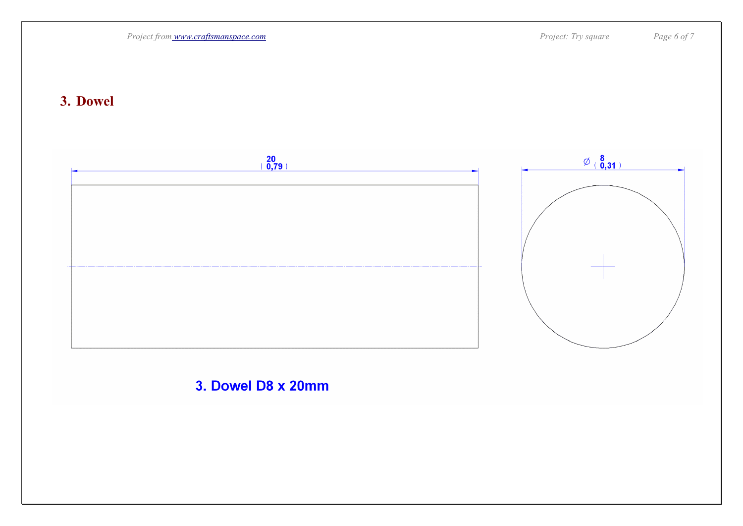